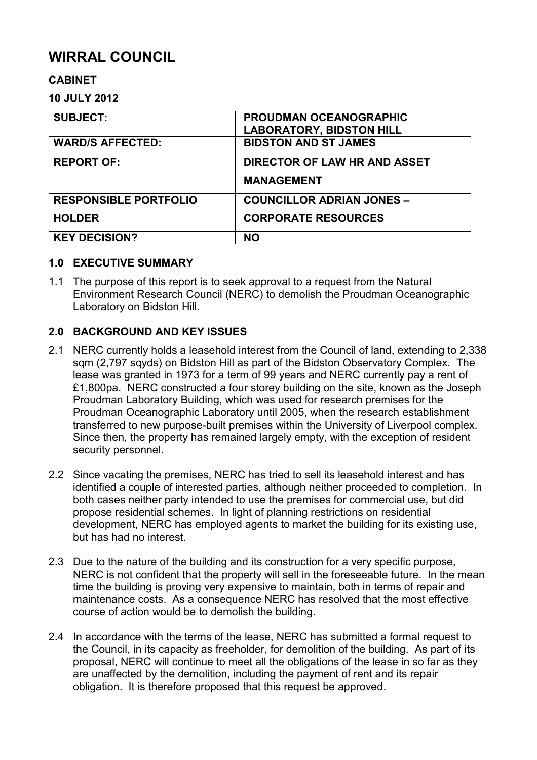# **WIRRAL COUNCIL**

## **CABINET**

### **10 JULY 2012**

| <b>SUBJECT:</b>              | <b>PROUDMAN OCEANOGRAPHIC</b><br><b>LABORATORY, BIDSTON HILL</b> |
|------------------------------|------------------------------------------------------------------|
| <b>WARD/S AFFECTED:</b>      | <b>BIDSTON AND ST JAMES</b>                                      |
| <b>REPORT OF:</b>            | DIRECTOR OF LAW HR AND ASSET                                     |
|                              | <b>MANAGEMENT</b>                                                |
| <b>RESPONSIBLE PORTFOLIO</b> | <b>COUNCILLOR ADRIAN JONES -</b>                                 |
| <b>HOLDER</b>                | <b>CORPORATE RESOURCES</b>                                       |
| <b>KEY DECISION?</b>         | <b>NO</b>                                                        |

#### **1.0 EXECUTIVE SUMMARY**

1.1 The purpose of this report is to seek approval to a request from the Natural Environment Research Council (NERC) to demolish the Proudman Oceanographic Laboratory on Bidston Hill.

## **2.0 BACKGROUND AND KEY ISSUES**

- 2.1 NERC currently holds a leasehold interest from the Council of land, extending to 2,338 sqm (2,797 sqyds) on Bidston Hill as part of the Bidston Observatory Complex. The lease was granted in 1973 for a term of 99 years and NERC currently pay a rent of £1,800pa. NERC constructed a four storey building on the site, known as the Joseph Proudman Laboratory Building, which was used for research premises for the Proudman Oceanographic Laboratory until 2005, when the research establishment transferred to new purpose-built premises within the University of Liverpool complex. Since then, the property has remained largely empty, with the exception of resident security personnel.
- 2.2 Since vacating the premises, NERC has tried to sell its leasehold interest and has identified a couple of interested parties, although neither proceeded to completion. In both cases neither party intended to use the premises for commercial use, but did propose residential schemes. In light of planning restrictions on residential development, NERC has employed agents to market the building for its existing use, but has had no interest.
- 2.3 Due to the nature of the building and its construction for a very specific purpose, NERC is not confident that the property will sell in the foreseeable future. In the mean time the building is proving very expensive to maintain, both in terms of repair and maintenance costs. As a consequence NERC has resolved that the most effective course of action would be to demolish the building.
- 2.4 In accordance with the terms of the lease, NERC has submitted a formal request to the Council, in its capacity as freeholder, for demolition of the building. As part of its proposal, NERC will continue to meet all the obligations of the lease in so far as they are unaffected by the demolition, including the payment of rent and its repair obligation. It is therefore proposed that this request be approved.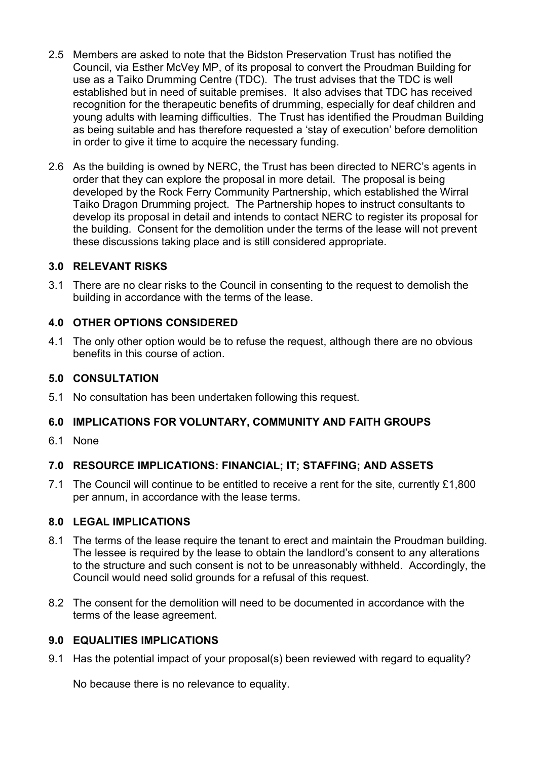- 2.5 Members are asked to note that the Bidston Preservation Trust has notified the Council, via Esther McVey MP, of its proposal to convert the Proudman Building for use as a Taiko Drumming Centre (TDC). The trust advises that the TDC is well established but in need of suitable premises. It also advises that TDC has received recognition for the therapeutic benefits of drumming, especially for deaf children and young adults with learning difficulties. The Trust has identified the Proudman Building as being suitable and has therefore requested a 'stay of execution' before demolition in order to give it time to acquire the necessary funding.
- 2.6 As the building is owned by NERC, the Trust has been directed to NERC's agents in order that they can explore the proposal in more detail. The proposal is being developed by the Rock Ferry Community Partnership, which established the Wirral Taiko Dragon Drumming project. The Partnership hopes to instruct consultants to develop its proposal in detail and intends to contact NERC to register its proposal for the building. Consent for the demolition under the terms of the lease will not prevent these discussions taking place and is still considered appropriate.

#### **3.0 RELEVANT RISKS**

3.1 There are no clear risks to the Council in consenting to the request to demolish the building in accordance with the terms of the lease.

## **4.0 OTHER OPTIONS CONSIDERED**

4.1 The only other option would be to refuse the request, although there are no obvious benefits in this course of action.

## **5.0 CONSULTATION**

5.1 No consultation has been undertaken following this request.

## **6.0 IMPLICATIONS FOR VOLUNTARY, COMMUNITY AND FAITH GROUPS**

6.1 None

## **7.0 RESOURCE IMPLICATIONS: FINANCIAL; IT; STAFFING; AND ASSETS**

7.1 The Council will continue to be entitled to receive a rent for the site, currently £1,800 per annum, in accordance with the lease terms.

#### **8.0 LEGAL IMPLICATIONS**

- 8.1 The terms of the lease require the tenant to erect and maintain the Proudman building. The lessee is required by the lease to obtain the landlord's consent to any alterations to the structure and such consent is not to be unreasonably withheld. Accordingly, the Council would need solid grounds for a refusal of this request.
- 8.2 The consent for the demolition will need to be documented in accordance with the terms of the lease agreement.

## **9.0 EQUALITIES IMPLICATIONS**

9.1 Has the potential impact of your proposal(s) been reviewed with regard to equality?

No because there is no relevance to equality.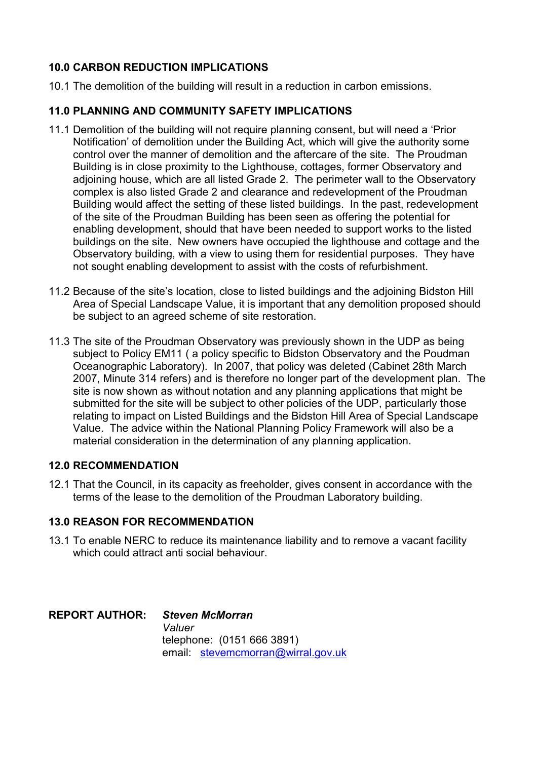## **10.0 CARBON REDUCTION IMPLICATIONS**

10.1 The demolition of the building will result in a reduction in carbon emissions.

## **11.0 PLANNING AND COMMUNITY SAFETY IMPLICATIONS**

- 11.1 Demolition of the building will not require planning consent, but will need a 'Prior Notification' of demolition under the Building Act, which will give the authority some control over the manner of demolition and the aftercare of the site. The Proudman Building is in close proximity to the Lighthouse, cottages, former Observatory and adjoining house, which are all listed Grade 2. The perimeter wall to the Observatory complex is also listed Grade 2 and clearance and redevelopment of the Proudman Building would affect the setting of these listed buildings. In the past, redevelopment of the site of the Proudman Building has been seen as offering the potential for enabling development, should that have been needed to support works to the listed buildings on the site. New owners have occupied the lighthouse and cottage and the Observatory building, with a view to using them for residential purposes. They have not sought enabling development to assist with the costs of refurbishment.
- 11.2 Because of the site's location, close to listed buildings and the adjoining Bidston Hill Area of Special Landscape Value, it is important that any demolition proposed should be subject to an agreed scheme of site restoration.
- 11.3 The site of the Proudman Observatory was previously shown in the UDP as being subject to Policy EM11 ( a policy specific to Bidston Observatory and the Poudman Oceanographic Laboratory). In 2007, that policy was deleted (Cabinet 28th March 2007, Minute 314 refers) and is therefore no longer part of the development plan. The site is now shown as without notation and any planning applications that might be submitted for the site will be subject to other policies of the UDP, particularly those relating to impact on Listed Buildings and the Bidston Hill Area of Special Landscape Value. The advice within the National Planning Policy Framework will also be a material consideration in the determination of any planning application.

## **12.0 RECOMMENDATION**

12.1 That the Council, in its capacity as freeholder, gives consent in accordance with the terms of the lease to the demolition of the Proudman Laboratory building.

## **13.0 REASON FOR RECOMMENDATION**

13.1 To enable NERC to reduce its maintenance liability and to remove a vacant facility which could attract anti social behaviour.

**REPORT AUTHOR:** *Steven McMorran* *Valuer* telephone: (0151 666 3891) email: stevemcmorran@wirral.gov.uk